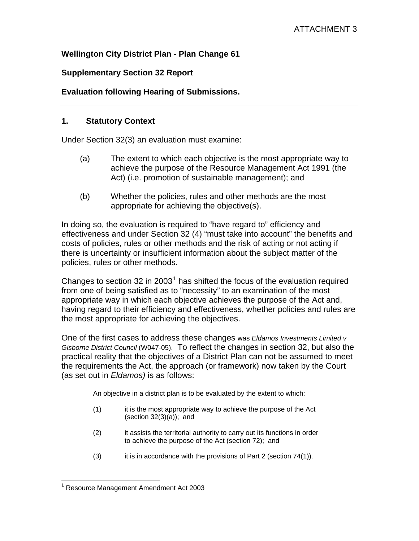# **Wellington City District Plan - Plan Change 61**

# **Supplementary Section 32 Report**

# **Evaluation following Hearing of Submissions.**

### **1. Statutory Context**

Under Section 32(3) an evaluation must examine:

- (a) The extent to which each objective is the most appropriate way to achieve the purpose of the Resource Management Act 1991 (the Act) (i.e. promotion of sustainable management); and
- (b) Whether the policies, rules and other methods are the most appropriate for achieving the objective(s).

In doing so, the evaluation is required to "have regard to" efficiency and effectiveness and under Section 32 (4) "must take into account" the benefits and costs of policies, rules or other methods and the risk of acting or not acting if there is uncertainty or insufficient information about the subject matter of the policies, rules or other methods.

Changes to section 32 in 2003<sup>[1](#page-0-0)</sup> has shifted the focus of the evaluation required from one of being satisfied as to "necessity" to an examination of the most appropriate way in which each objective achieves the purpose of the Act and, having regard to their efficiency and effectiveness, whether policies and rules are the most appropriate for achieving the objectives.

One of the first cases to address these changes was *Eldamos Investments Limited v Gisborne District Council* (W047-05). To reflect the changes in section 32, but also the practical reality that the objectives of a District Plan can not be assumed to meet the requirements the Act, the approach (or framework) now taken by the Court (as set out in *Eldamos)* is as follows:

An objective in a district plan is to be evaluated by the extent to which:

- (1) it is the most appropriate way to achieve the purpose of the Act (section  $32(3)(a)$ ); and
- (2) it assists the territorial authority to carry out its functions in order to achieve the purpose of the Act (section 72); and
- (3) it is in accordance with the provisions of Part 2 (section 74(1)).

<span id="page-0-0"></span> $\overline{a}$ <sup>1</sup> Resource Management Amendment Act 2003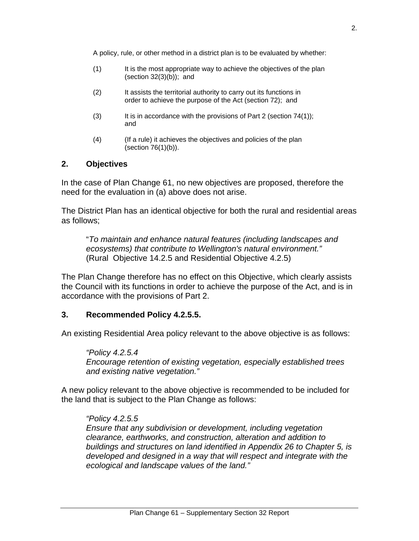- (1) It is the most appropriate way to achieve the objectives of the plan (section  $32(3)(b)$ ); and
- (2) It assists the territorial authority to carry out its functions in order to achieve the purpose of the Act (section 72); and
- (3) It is in accordance with the provisions of Part 2 (section  $74(1)$ ); and
- (4) (If a rule) it achieves the objectives and policies of the plan (section 76(1)(b)).

### **2. Objectives**

In the case of Plan Change 61, no new objectives are proposed, therefore the need for the evaluation in (a) above does not arise.

The District Plan has an identical objective for both the rural and residential areas as follows;

 "*To maintain and enhance natural features (including landscapes and ecosystems) that contribute to Wellington's natural environment."* (Rural Objective 14.2.5 and Residential Objective 4.2.5)

The Plan Change therefore has no effect on this Objective, which clearly assists the Council with its functions in order to achieve the purpose of the Act, and is in accordance with the provisions of Part 2.

### **3. Recommended Policy 4.2.5.5.**

An existing Residential Area policy relevant to the above objective is as follows:

 *"Policy 4.2.5.4 Encourage retention of existing vegetation, especially established trees and existing native vegetation."* 

A new policy relevant to the above objective is recommended to be included for the land that is subject to the Plan Change as follows:

 *"Policy 4.2.5.5 Ensure that any subdivision or development, including vegetation clearance, earthworks, and construction, alteration and addition to buildings and structures on land identified in Appendix 26 to Chapter 5, is developed and designed in a way that will respect and integrate with the ecological and landscape values of the land."*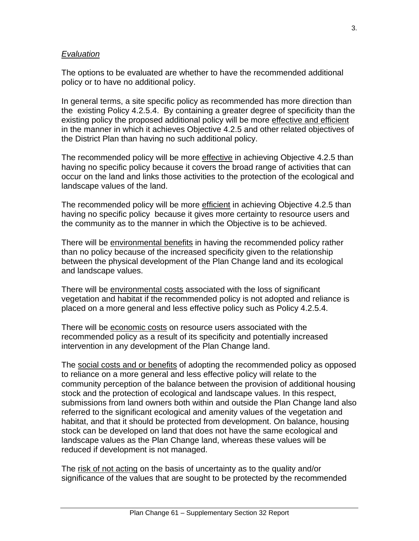### *Evaluation*

The options to be evaluated are whether to have the recommended additional policy or to have no additional policy.

In general terms, a site specific policy as recommended has more direction than the existing Policy 4.2.5.4. By containing a greater degree of specificity than the existing policy the proposed additional policy will be more effective and efficient in the manner in which it achieves Objective 4.2.5 and other related objectives of the District Plan than having no such additional policy.

The recommended policy will be more effective in achieving Objective 4.2.5 than having no specific policy because it covers the broad range of activities that can occur on the land and links those activities to the protection of the ecological and landscape values of the land.

The recommended policy will be more efficient in achieving Objective 4.2.5 than having no specific policy because it gives more certainty to resource users and the community as to the manner in which the Objective is to be achieved.

There will be environmental benefits in having the recommended policy rather than no policy because of the increased specificity given to the relationship between the physical development of the Plan Change land and its ecological and landscape values.

There will be environmental costs associated with the loss of significant vegetation and habitat if the recommended policy is not adopted and reliance is placed on a more general and less effective policy such as Policy 4.2.5.4.

There will be economic costs on resource users associated with the recommended policy as a result of its specificity and potentially increased intervention in any development of the Plan Change land.

The social costs and or benefits of adopting the recommended policy as opposed to reliance on a more general and less effective policy will relate to the community perception of the balance between the provision of additional housing stock and the protection of ecological and landscape values. In this respect, submissions from land owners both within and outside the Plan Change land also referred to the significant ecological and amenity values of the vegetation and habitat, and that it should be protected from development. On balance, housing stock can be developed on land that does not have the same ecological and landscape values as the Plan Change land, whereas these values will be reduced if development is not managed.

The risk of not acting on the basis of uncertainty as to the quality and/or significance of the values that are sought to be protected by the recommended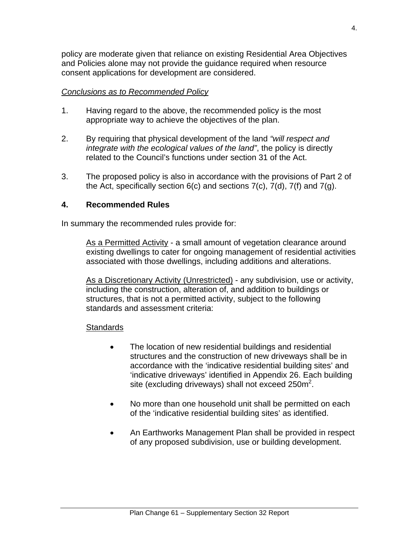policy are moderate given that reliance on existing Residential Area Objectives and Policies alone may not provide the guidance required when resource consent applications for development are considered.

### *Conclusions as to Recommended Policy*

- 1. Having regard to the above, the recommended policy is the most appropriate way to achieve the objectives of the plan.
- 2. By requiring that physical development of the land *"will respect and integrate with the ecological values of the land"*, the policy is directly related to the Council's functions under section 31 of the Act.
- 3. The proposed policy is also in accordance with the provisions of Part 2 of the Act, specifically section  $6(c)$  and sections  $7(c)$ ,  $7(d)$ ,  $7(f)$  and  $7(g)$ .

### **4. Recommended Rules**

In summary the recommended rules provide for:

 As a Permitted Activity - a small amount of vegetation clearance around existing dwellings to cater for ongoing management of residential activities associated with those dwellings, including additions and alterations.

 As a Discretionary Activity (Unrestricted) - any subdivision, use or activity, including the construction, alteration of, and addition to buildings or structures, that is not a permitted activity, subject to the following standards and assessment criteria:

### **Standards**

- The location of new residential buildings and residential structures and the construction of new driveways shall be in accordance with the 'indicative residential building sites' and 'indicative driveways' identified in Appendix 26. Each building site (excluding driveways) shall not exceed  $250m^2$ .
- No more than one household unit shall be permitted on each of the 'indicative residential building sites' as identified.
- An Earthworks Management Plan shall be provided in respect of any proposed subdivision, use or building development.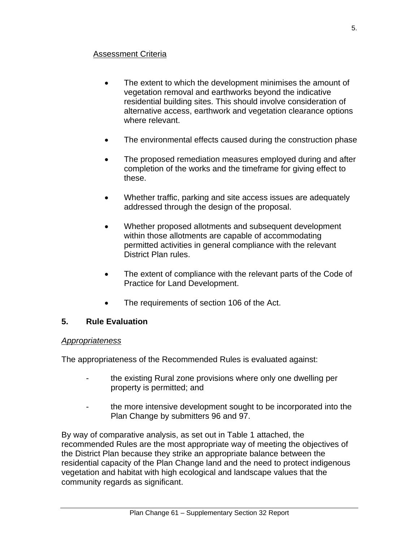# Assessment Criteria

- The extent to which the development minimises the amount of vegetation removal and earthworks beyond the indicative residential building sites. This should involve consideration of alternative access, earthwork and vegetation clearance options where relevant.
- The environmental effects caused during the construction phase
- The proposed remediation measures employed during and after completion of the works and the timeframe for giving effect to these.
- Whether traffic, parking and site access issues are adequately addressed through the design of the proposal.
- Whether proposed allotments and subsequent development within those allotments are capable of accommodating permitted activities in general compliance with the relevant District Plan rules.
- The extent of compliance with the relevant parts of the Code of Practice for Land Development.
- The requirements of section 106 of the Act.

# **5. Rule Evaluation**

### *Appropriateness*

The appropriateness of the Recommended Rules is evaluated against:

- the existing Rural zone provisions where only one dwelling per property is permitted; and
- the more intensive development sought to be incorporated into the Plan Change by submitters 96 and 97.

By way of comparative analysis, as set out in Table 1 attached, the recommended Rules are the most appropriate way of meeting the objectives of the District Plan because they strike an appropriate balance between the residential capacity of the Plan Change land and the need to protect indigenous vegetation and habitat with high ecological and landscape values that the community regards as significant.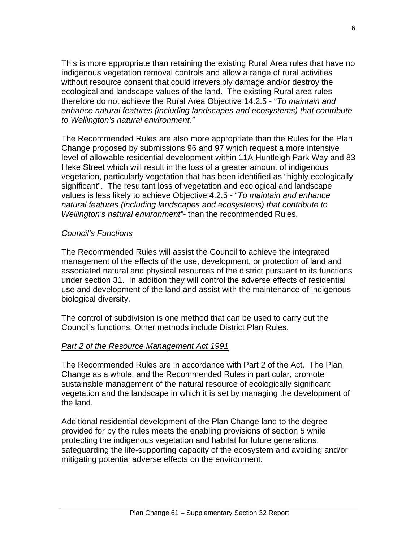This is more appropriate than retaining the existing Rural Area rules that have no indigenous vegetation removal controls and allow a range of rural activities without resource consent that could irreversibly damage and/or destroy the ecological and landscape values of the land. The existing Rural area rules therefore do not achieve the Rural Area Objective 14.2.5 - "*To maintain and enhance natural features (including landscapes and ecosystems) that contribute to Wellington's natural environment."*

The Recommended Rules are also more appropriate than the Rules for the Plan Change proposed by submissions 96 and 97 which request a more intensive level of allowable residential development within 11A Huntleigh Park Way and 83 Heke Street which will result in the loss of a greater amount of indigenous vegetation, particularly vegetation that has been identified as "highly ecologically significant". The resultant loss of vegetation and ecological and landscape values is less likely to achieve Objective 4.2.5 - "*To maintain and enhance natural features (including landscapes and ecosystems) that contribute to Wellington's natural environment"-* than the recommended Rules.

# *Council's Functions*

The Recommended Rules will assist the Council to achieve the integrated management of the effects of the use, development, or protection of land and associated natural and physical resources of the district pursuant to its functions under section 31. In addition they will control the adverse effects of residential use and development of the land and assist with the maintenance of indigenous biological diversity.

The control of subdivision is one method that can be used to carry out the Council's functions. Other methods include District Plan Rules.

# *Part 2 of the Resource Management Act 1991*

The Recommended Rules are in accordance with Part 2 of the Act. The Plan Change as a whole, and the Recommended Rules in particular, promote sustainable management of the natural resource of ecologically significant vegetation and the landscape in which it is set by managing the development of the land.

Additional residential development of the Plan Change land to the degree provided for by the rules meets the enabling provisions of section 5 while protecting the indigenous vegetation and habitat for future generations, safeguarding the life-supporting capacity of the ecosystem and avoiding and/or mitigating potential adverse effects on the environment.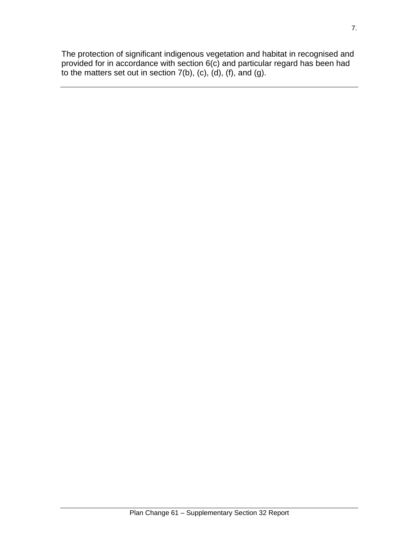The protection of significant indigenous vegetation and habitat in recognised and provided for in accordance with section 6(c) and particular regard has been had to the matters set out in section  $7(b)$ ,  $(c)$ ,  $(d)$ ,  $(f)$ , and  $(g)$ .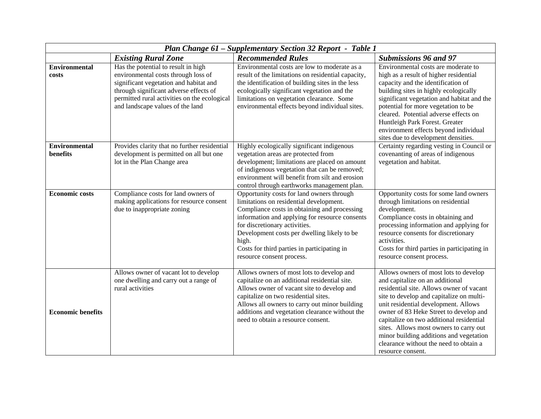| Plan Change 61 - Supplementary Section 32 Report - Table 1 |                                                                                                                                                                                                                                                    |                                                                                                                                                                                                                                                                                                                                                             |                                                                                                                                                                                                                                                                                                                                                                                                                                                    |  |
|------------------------------------------------------------|----------------------------------------------------------------------------------------------------------------------------------------------------------------------------------------------------------------------------------------------------|-------------------------------------------------------------------------------------------------------------------------------------------------------------------------------------------------------------------------------------------------------------------------------------------------------------------------------------------------------------|----------------------------------------------------------------------------------------------------------------------------------------------------------------------------------------------------------------------------------------------------------------------------------------------------------------------------------------------------------------------------------------------------------------------------------------------------|--|
|                                                            | <b>Existing Rural Zone</b>                                                                                                                                                                                                                         | <b>Recommended Rules</b>                                                                                                                                                                                                                                                                                                                                    | <b>Submissions 96 and 97</b>                                                                                                                                                                                                                                                                                                                                                                                                                       |  |
| <b>Environmental</b><br>costs                              | Has the potential to result in high<br>environmental costs through loss of<br>significant vegetation and habitat and<br>through significant adverse effects of<br>permitted rural activities on the ecological<br>and landscape values of the land | Environmental costs are low to moderate as a<br>result of the limitations on residential capacity,<br>the identification of building sites in the less<br>ecologically significant vegetation and the<br>limitations on vegetation clearance. Some<br>environmental effects beyond individual sites.                                                        | Environmental costs are moderate to<br>high as a result of higher residential<br>capacity and the identification of<br>building sites in highly ecologically<br>significant vegetation and habitat and the<br>potential for more vegetation to be<br>cleared. Potential adverse effects on<br>Huntleigh Park Forest. Greater<br>environment effects beyond individual<br>sites due to development densities.                                       |  |
| <b>Environmental</b><br>benefits                           | Provides clarity that no further residential<br>development is permitted on all but one<br>lot in the Plan Change area                                                                                                                             | Highly ecologically significant indigenous<br>vegetation areas are protected from<br>development; limitations are placed on amount<br>of indigenous vegetation that can be removed;<br>environment will benefit from silt and erosion<br>control through earthworks management plan.                                                                        | Certainty regarding vesting in Council or<br>covenanting of areas of indigenous<br>vegetation and habitat.                                                                                                                                                                                                                                                                                                                                         |  |
| <b>Economic costs</b>                                      | Compliance costs for land owners of<br>making applications for resource consent<br>due to inappropriate zoning                                                                                                                                     | Opportunity costs for land owners through<br>limitations on residential development.<br>Compliance costs in obtaining and processing<br>information and applying for resource consents<br>for discretionary activities.<br>Development costs per dwelling likely to be<br>high.<br>Costs for third parties in participating in<br>resource consent process. | Opportunity costs for some land owners<br>through limitations on residential<br>development.<br>Compliance costs in obtaining and<br>processing information and applying for<br>resource consents for discretionary<br>activities.<br>Costs for third parties in participating in<br>resource consent process.                                                                                                                                     |  |
| <b>Economic benefits</b>                                   | Allows owner of vacant lot to develop<br>one dwelling and carry out a range of<br>rural activities                                                                                                                                                 | Allows owners of most lots to develop and<br>capitalize on an additional residential site.<br>Allows owner of vacant site to develop and<br>capitalize on two residential sites.<br>Allows all owners to carry out minor building<br>additions and vegetation clearance without the<br>need to obtain a resource consent.                                   | Allows owners of most lots to develop<br>and capitalize on an additional<br>residential site. Allows owner of vacant<br>site to develop and capitalize on multi-<br>unit residential development. Allows<br>owner of 83 Heke Street to develop and<br>capitalize on two additional residential<br>sites. Allows most owners to carry out<br>minor building additions and vegetation<br>clearance without the need to obtain a<br>resource consent. |  |